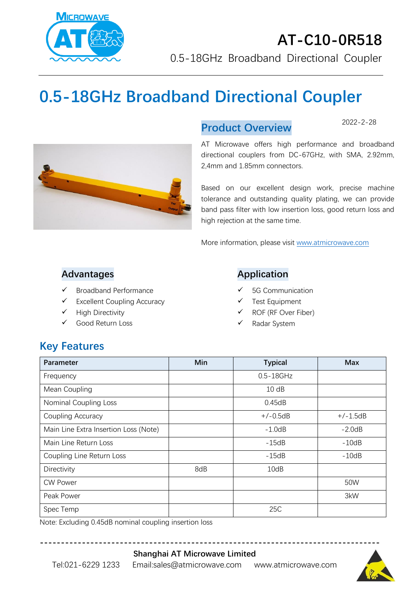

# **0.5-18GHz Broadband Directional Coupler**



#### **Product Overview**

2022-2-28

AT Microwave offers high performance and broadband directional couplers from DC-67GHz, with SMA, 2.92mm, 2,4mm and 1.85mm connectors.

Based on our excellent design work, precise machine tolerance and outstanding quality plating, we can provide band pass filter with low insertion loss, good return loss and high rejection at the same time.

More information, please visit [www.atmicrowave.com](http://www.atmicrowave.com/)

#### **Advantages**

- ✓ Broadband Performance
- $\checkmark$  Excellent Coupling Accuracy
- ✓ High Directivity
- ✓ Good Return Loss

#### **Application**

- 5G Communication
- Test Equipment
- ✓ ROF (RF Over Fiber)
- Radar System

# **Key Features**

| Parameter                             | Min | <b>Typical</b> | <b>Max</b> |
|---------------------------------------|-----|----------------|------------|
| Frequency                             |     | $0.5 - 18$ GHz |            |
| Mean Coupling                         |     | 10dB           |            |
| <b>Nominal Coupling Loss</b>          |     | 0.45dB         |            |
| Coupling Accuracy                     |     | $+/-0.5dB$     | $+/-1.5dB$ |
| Main Line Extra Insertion Loss (Note) |     | $-1.0dB$       | $-2.0dB$   |
| Main Line Return Loss                 |     | $-15dB$        | $-10dB$    |
| Coupling Line Return Loss             |     | $-15dB$        | $-10dB$    |
| Directivity                           | 8dB | 10dB           |            |
| <b>CW Power</b>                       |     |                | 50W        |
| Peak Power                            |     |                | 3kW        |
| Spec Temp                             |     | 25C            |            |

**---------------------------------------------------------------------------------**

Note: Excluding 0.45dB nominal coupling insertion loss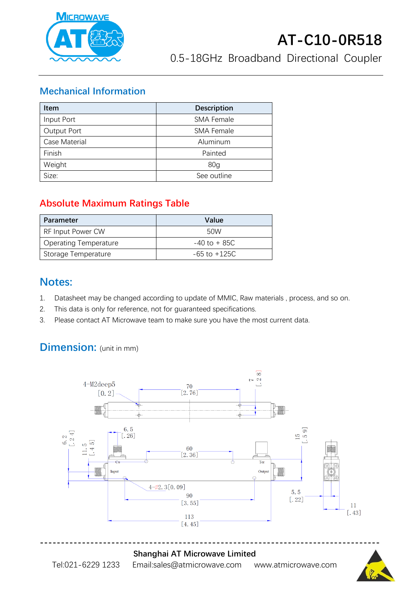

#### **Mechanical Information**

| <b>Item</b>   | <b>Description</b> |  |
|---------------|--------------------|--|
| Input Port    | <b>SMA Female</b>  |  |
| Output Port   | <b>SMA Female</b>  |  |
| Case Material | Aluminum           |  |
| Finish        | Painted            |  |
| Weight        | 80 <sub>g</sub>    |  |
| Size:         | See outline        |  |

## **Absolute Maximum Ratings Table**

| Parameter                    | Value            |
|------------------------------|------------------|
| RF Input Power CW            | 50W              |
| <b>Operating Temperature</b> | $-40$ to $+85C$  |
| Storage Temperature          | $-65$ to $+125C$ |

### **Notes:**

- 1. Datasheet may be changed according to update of MMIC, Raw materials , process, and so on.
- 2. This data is only for reference, not for guaranteed specifications.
- 3. Please contact AT Microwave team to make sure you have the most current data.

# **Dimension:** (unit in mm)



#### **Shanghai AT Microwave Limited**

Tel:021-6229 1233 Email:sales@atmicrowave.com www.atmicrowave.com